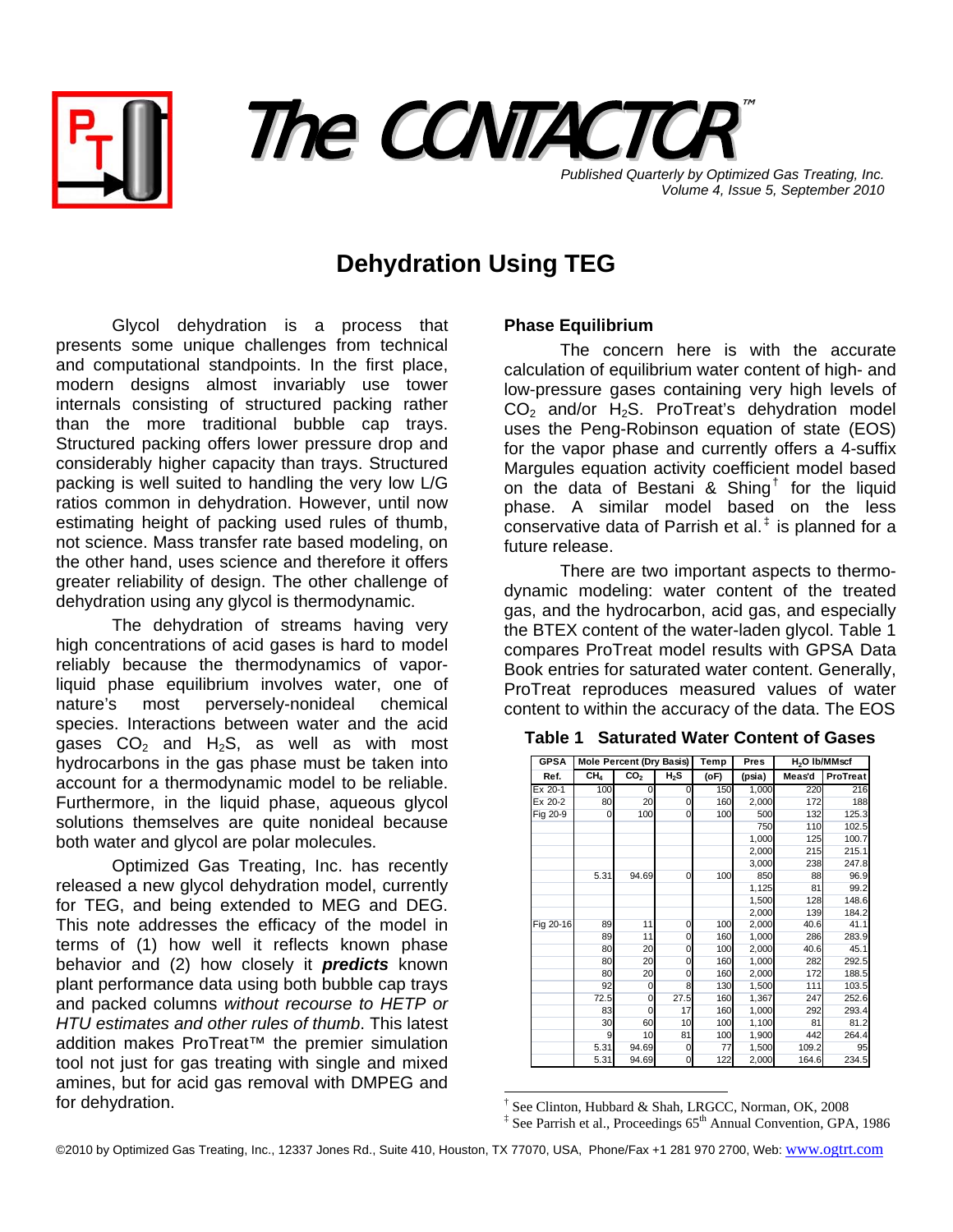



**Published Quarterly by Optimized Gas Treating, Inc.** *Volume 4, Issue 5, September 2010*

## **Dehydration Using TEG**

Glycol dehydration is a process that presents some unique challenges from technical and computational standpoints. In the first place, modern designs almost invariably use tower internals consisting of structured packing rather than the more traditional bubble cap trays. Structured packing offers lower pressure drop and considerably higher capacity than trays. Structured packing is well suited to handling the very low L/G ratios common in dehydration. However, until now estimating height of packing used rules of thumb, not science. Mass transfer rate based modeling, on the other hand, uses science and therefore it offers greater reliability of design. The other challenge of dehydration using any glycol is thermodynamic.

 The dehydration of streams having very high concentrations of acid gases is hard to model reliably because the thermodynamics of vaporliquid phase equilibrium involves water, one of nature's most perversely-nonideal chemical species. Interactions between water and the acid gases  $CO<sub>2</sub>$  and H<sub>2</sub>S, as well as with most hydrocarbons in the gas phase must be taken into account for a thermodynamic model to be reliable. Furthermore, in the liquid phase, aqueous glycol solutions themselves are quite nonideal because both water and glycol are polar molecules.

 Optimized Gas Treating, Inc. has recently released a new glycol dehydration model, currently for TEG, and being extended to MEG and DEG. This note addresses the efficacy of the model in terms of (1) how well it reflects known phase behavior and (2) how closely it *predicts* known plant performance data using both bubble cap trays and packed columns *without recourse to HETP or HTU estimates and other rules of thumb*. This latest addition makes ProTreat™ the premier simulation tool not just for gas treating with single and mixed amines, but for acid gas removal with DMPEG and for dehydration.

## **Phase Equilibrium**

The concern here is with the accurate calculation of equilibrium water content of high- and low-pressure gases containing very high levels of  $CO<sub>2</sub>$  and/or H<sub>2</sub>S. ProTreat's dehydration model uses the Peng-Robinson equation of state (EOS) for the vapor phase and currently offers a 4-suffix Margules equation activity coefficient model based on the data of Bestani & Shing<sup>†</sup> for the liquid phase. A similar model based on the less conservative data of Parrish et al. $^{\ddagger}$  is planned for a future release.

There are two important aspects to thermodynamic modeling: water content of the treated gas, and the hydrocarbon, acid gas, and especially the BTEX content of the water-laden glycol. Table 1 compares ProTreat model results with GPSA Data Book entries for saturated water content. Generally, ProTreat reproduces measured values of water content to within the accuracy of the data. The EOS

## **Table 1 Saturated Water Content of Gases**

| <b>GPSA</b> | Mole Percent (Dry Basis) |                   | Temp     | Pres | H <sub>2</sub> O Ib/MMscf |        |          |
|-------------|--------------------------|-------------------|----------|------|---------------------------|--------|----------|
| Ref.        | CH <sub>4</sub>          | $\overline{CO}_2$ | $H_2S$   | (oF) | (psia)                    | Meas'd | ProTreat |
| Ex 20-1     | 100                      | 0                 | 0        | 150  | 1,000                     | 220    | 216      |
| Ex 20-2     | 80                       | 20                | 0        | 160  | 2,000                     | 172    | 188      |
| Fig 20-9    | 0                        | 100               | $\Omega$ | 100  | 500                       | 132    | 125.3    |
|             |                          |                   |          |      | 750                       | 110    | 102.5    |
|             |                          |                   |          |      | 1,000                     | 125    | 100.7    |
|             |                          |                   |          |      | 2,000                     | 215    | 215.1    |
|             |                          |                   |          |      | 3,000                     | 238    | 247.8    |
|             | 5.31                     | 94.69             | 0        | 100  | 850                       | 88     | 96.9     |
|             |                          |                   |          |      | 1,125                     | 81     | 99.2     |
|             |                          |                   |          |      | 1,500                     | 128    | 148.6    |
|             |                          |                   |          |      | 2,000                     | 139    | 184.2    |
| Fig 20-16   | 89                       | 11                | 0        | 100  | 2,000                     | 40.6   | 41.1     |
|             | 89                       | 11                | 0        | 160  | 1,000                     | 286    | 283.9    |
|             | 80                       | 20                | 0        | 100  | 2,000                     | 40.6   | 45.1     |
|             | 80                       | 20                | 0        | 160  | 1,000                     | 282    | 292.5    |
|             | 80                       | 20                | 0        | 160  | 2,000                     | 172    | 188.5    |
|             | 92                       | 0                 | 8        | 130  | 1,500                     | 111    | 103.5    |
|             | 72.5                     | 0                 | 27.5     | 160  | 1,367                     | 247    | 252.6    |
|             | 83                       | 0                 | 17       | 160  | 1,000                     | 292    | 293.4    |
|             | 30                       | 60                | 10       | 100  | 1,100                     | 81     | 81.2     |
|             | 9                        | 10                | 81       | 100  | 1,900                     | 442    | 264.4    |
|             | 5.31                     | 94.69             | 0        | 77   | 1,500                     | 109.2  | 95       |
|             | 5.31                     | 94.69             | 0        | 122  | 2,000                     | 164.6  | 234.5    |

l † See Clinton, Hubbard & Shah, LRGCC, Norman, OK, 2008

<sup>&</sup>lt;sup>‡</sup> See Parrish et al., Proceedings 65<sup>th</sup> Annual Convention, GPA, 1986